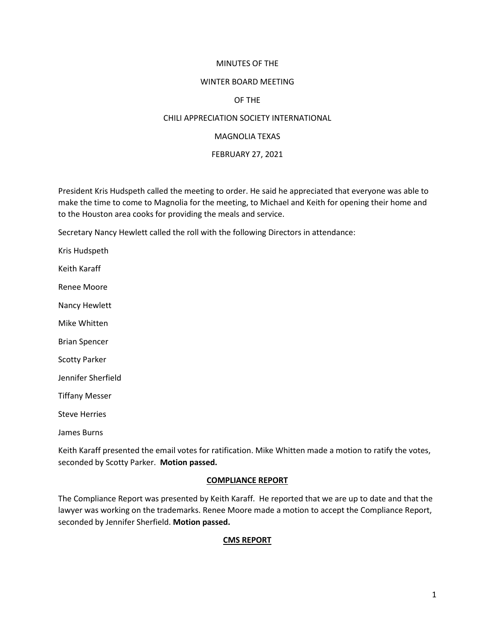#### MINUTES OF THE

#### WINTER BOARD MEETING

#### OF THE

#### CHILI APPRECIATION SOCIETY INTERNATIONAL

#### MAGNOLIA TEXAS

#### FEBRUARY 27, 2021

President Kris Hudspeth called the meeting to order. He said he appreciated that everyone was able to make the time to come to Magnolia for the meeting, to Michael and Keith for opening their home and to the Houston area cooks for providing the meals and service.

Secretary Nancy Hewlett called the roll with the following Directors in attendance:

Kris Hudspeth

Keith Karaff

Renee Moore

Nancy Hewlett

Mike Whitten

Brian Spencer

Scotty Parker

Jennifer Sherfield

Tiffany Messer

Steve Herries

James Burns

Keith Karaff presented the email votes for ratification. Mike Whitten made a motion to ratify the votes, seconded by Scotty Parker. **Motion passed.**

#### **COMPLIANCE REPORT**

The Compliance Report was presented by Keith Karaff. He reported that we are up to date and that the lawyer was working on the trademarks. Renee Moore made a motion to accept the Compliance Report, seconded by Jennifer Sherfield. **Motion passed.**

#### **CMS REPORT**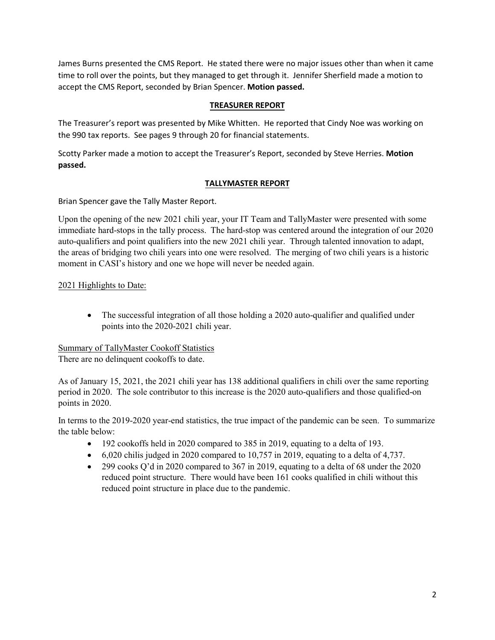James Burns presented the CMS Report. He stated there were no major issues other than when it came time to roll over the points, but they managed to get through it. Jennifer Sherfield made a motion to accept the CMS Report, seconded by Brian Spencer. **Motion passed.**

#### **TREASURER REPORT**

The Treasurer's report was presented by Mike Whitten. He reported that Cindy Noe was working on the 990 tax reports. See pages 9 through 20 for financial statements.

Scotty Parker made a motion to accept the Treasurer's Report, seconded by Steve Herries. **Motion passed.**

### **TALLYMASTER REPORT**

Brian Spencer gave the Tally Master Report.

Upon the opening of the new 2021 chili year, your IT Team and TallyMaster were presented with some immediate hard-stops in the tally process. The hard-stop was centered around the integration of our 2020 auto-qualifiers and point qualifiers into the new 2021 chili year. Through talented innovation to adapt, the areas of bridging two chili years into one were resolved. The merging of two chili years is a historic moment in CASI's history and one we hope will never be needed again.

### 2021 Highlights to Date:

• The successful integration of all those holding a 2020 auto-qualifier and qualified under points into the 2020-2021 chili year.

## Summary of TallyMaster Cookoff Statistics

There are no delinquent cookoffs to date.

As of January 15, 2021, the 2021 chili year has 138 additional qualifiers in chili over the same reporting period in 2020. The sole contributor to this increase is the 2020 auto-qualifiers and those qualified-on points in 2020.

In terms to the 2019-2020 year-end statistics, the true impact of the pandemic can be seen. To summarize the table below:

- 192 cookoffs held in 2020 compared to 385 in 2019, equating to a delta of 193.
- $\bullet$  6,020 chilis judged in 2020 compared to 10,757 in 2019, equating to a delta of 4,737.
- 299 cooks Q'd in 2020 compared to 367 in 2019, equating to a delta of 68 under the 2020 reduced point structure. There would have been 161 cooks qualified in chili without this reduced point structure in place due to the pandemic.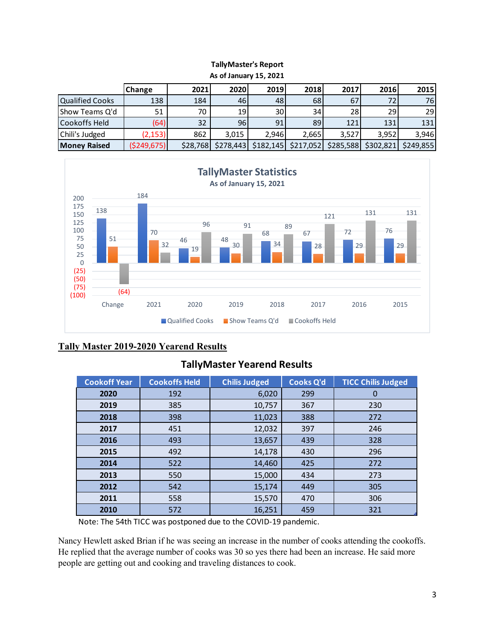#### **TallyMaster's Report As of January 15, 2021**

|                     | AS UI JAHUAI V 13, ZUZI |          |           |           |           |           |           |           |  |  |  |  |  |  |
|---------------------|-------------------------|----------|-----------|-----------|-----------|-----------|-----------|-----------|--|--|--|--|--|--|
|                     | Change                  | 2021     | 2020      | 2019      | 2018      | 2017      | 2016      | 2015      |  |  |  |  |  |  |
| Qualified Cooks     | 138                     | 184      | 46        | 48        | 68        | 67        | 72        | 76I       |  |  |  |  |  |  |
| IShow Teams Q'd     | 51                      | 70       | 19        | 30 l      | 34        | 28        | <b>29</b> | 29        |  |  |  |  |  |  |
| Cookoffs Held       | (64)                    | 32       | 96        | 911       | 89        | 121       | 131       | 131       |  |  |  |  |  |  |
| Chili's Judged      | (2, 153)                | 862      | 3.015     | 2.946     | 2,665     | 3.527     | 3.952     | 3,946     |  |  |  |  |  |  |
| <b>Money Raised</b> | \$249,675               | \$28,768 | \$278,443 | \$182,145 | \$217,052 | \$285,588 | \$302,821 | \$249,855 |  |  |  |  |  |  |



## **Tally Master 2019-2020 Yearend Results**

## **TallyMaster Yearend Results**

| <b>Cookoff Year</b> | <b>Cookoffs Held</b> | <b>Chilis Judged</b> | <b>Cooks Q'd</b> | <b>TICC Chilis Judged</b> |
|---------------------|----------------------|----------------------|------------------|---------------------------|
| 2020                | 192                  | 6,020                | 299              | 0                         |
| 2019                | 385                  | 10,757               | 367              | 230                       |
| 2018                | 398                  | 11,023               | 388              | 272                       |
| 2017                | 451                  | 12,032               | 397              | 246                       |
| 2016                | 493                  | 13,657               | 439              | 328                       |
| 2015                | 492                  | 14,178               | 430              | 296                       |
| 2014                | 522                  | 14,460               | 425              | 272                       |
| 2013                | 550                  | 15,000               | 434              | 273                       |
| 2012                | 542                  | 15,174               | 449              | 305                       |
| 2011                | 558                  | 15,570               | 470              | 306                       |
| 2010                | 572                  | 16,251               | 459              | 321                       |

Note: The 54th TICC was postponed due to the COVID-19 pandemic.

Nancy Hewlett asked Brian if he was seeing an increase in the number of cooks attending the cookoffs. He replied that the average number of cooks was 30 so yes there had been an increase. He said more people are getting out and cooking and traveling distances to cook.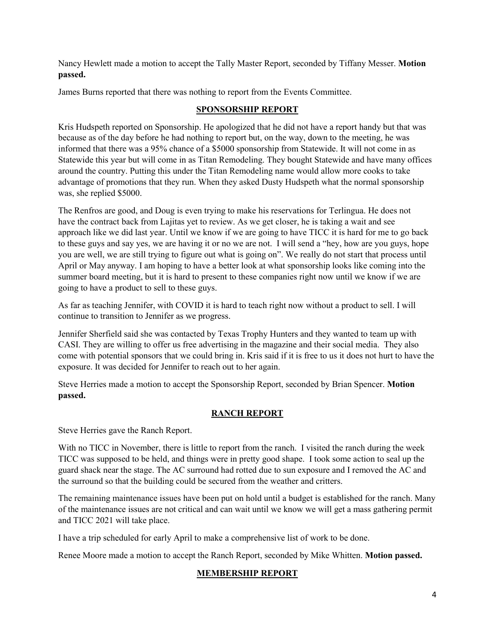Nancy Hewlett made a motion to accept the Tally Master Report, seconded by Tiffany Messer. **Motion passed.**

James Burns reported that there was nothing to report from the Events Committee.

### **SPONSORSHIP REPORT**

Kris Hudspeth reported on Sponsorship. He apologized that he did not have a report handy but that was because as of the day before he had nothing to report but, on the way, down to the meeting, he was informed that there was a 95% chance of a \$5000 sponsorship from Statewide. It will not come in as Statewide this year but will come in as Titan Remodeling. They bought Statewide and have many offices around the country. Putting this under the Titan Remodeling name would allow more cooks to take advantage of promotions that they run. When they asked Dusty Hudspeth what the normal sponsorship was, she replied \$5000.

The Renfros are good, and Doug is even trying to make his reservations for Terlingua. He does not have the contract back from Lajitas yet to review. As we get closer, he is taking a wait and see approach like we did last year. Until we know if we are going to have TICC it is hard for me to go back to these guys and say yes, we are having it or no we are not. I will send a "hey, how are you guys, hope you are well, we are still trying to figure out what is going on". We really do not start that process until April or May anyway. I am hoping to have a better look at what sponsorship looks like coming into the summer board meeting, but it is hard to present to these companies right now until we know if we are going to have a product to sell to these guys.

As far as teaching Jennifer, with COVID it is hard to teach right now without a product to sell. I will continue to transition to Jennifer as we progress.

Jennifer Sherfield said she was contacted by Texas Trophy Hunters and they wanted to team up with CASI. They are willing to offer us free advertising in the magazine and their social media. They also come with potential sponsors that we could bring in. Kris said if it is free to us it does not hurt to have the exposure. It was decided for Jennifer to reach out to her again.

Steve Herries made a motion to accept the Sponsorship Report, seconded by Brian Spencer. **Motion passed.**

### **RANCH REPORT**

Steve Herries gave the Ranch Report.

With no TICC in November, there is little to report from the ranch. I visited the ranch during the week TICC was supposed to be held, and things were in pretty good shape. I took some action to seal up the guard shack near the stage. The AC surround had rotted due to sun exposure and I removed the AC and the surround so that the building could be secured from the weather and critters.

The remaining maintenance issues have been put on hold until a budget is established for the ranch. Many of the maintenance issues are not critical and can wait until we know we will get a mass gathering permit and TICC 2021 will take place.

I have a trip scheduled for early April to make a comprehensive list of work to be done.

Renee Moore made a motion to accept the Ranch Report, seconded by Mike Whitten. **Motion passed.**

## **MEMBERSHIP REPORT**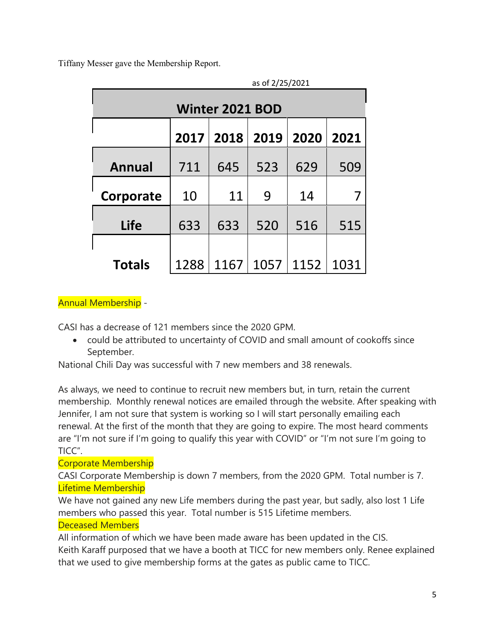Tiffany Messer gave the Membership Report.

| as of 2/25/2021 |      |                        |                            |      |      |  |  |  |  |  |  |  |  |
|-----------------|------|------------------------|----------------------------|------|------|--|--|--|--|--|--|--|--|
|                 |      | <b>Winter 2021 BOD</b> |                            |      |      |  |  |  |  |  |  |  |  |
|                 | 2017 | 2018                   | $\vert$ 2019 $\vert$       | 2020 | 2021 |  |  |  |  |  |  |  |  |
| <b>Annual</b>   | 711  | 645                    | 523                        | 629  | 509  |  |  |  |  |  |  |  |  |
| Corporate       | 10   | 11                     | 9                          | 14   |      |  |  |  |  |  |  |  |  |
| <b>Life</b>     | 633  | 633                    | 520                        | 516  | 515  |  |  |  |  |  |  |  |  |
|                 |      |                        |                            |      |      |  |  |  |  |  |  |  |  |
| <b>Totals</b>   | 1288 |                        | $1167 \mid 1057 \mid 1152$ |      | 1031 |  |  |  |  |  |  |  |  |

## Annual Membership -

CASI has a decrease of 121 members since the 2020 GPM.

• could be attributed to uncertainty of COVID and small amount of cookoffs since September.

National Chili Day was successful with 7 new members and 38 renewals.

As always, we need to continue to recruit new members but, in turn, retain the current membership. Monthly renewal notices are emailed through the website. After speaking with Jennifer, I am not sure that system is working so I will start personally emailing each renewal. At the first of the month that they are going to expire. The most heard comments are "I'm not sure if I'm going to qualify this year with COVID" or "I'm not sure I'm going to TICC".

## Corporate Membership

CASI Corporate Membership is down 7 members, from the 2020 GPM. Total number is 7. Lifetime Membership

We have not gained any new Life members during the past year, but sadly, also lost 1 Life members who passed this year. Total number is 515 Lifetime members.

## Deceased Members

All information of which we have been made aware has been updated in the CIS. Keith Karaff purposed that we have a booth at TICC for new members only. Renee explained that we used to give membership forms at the gates as public came to TICC.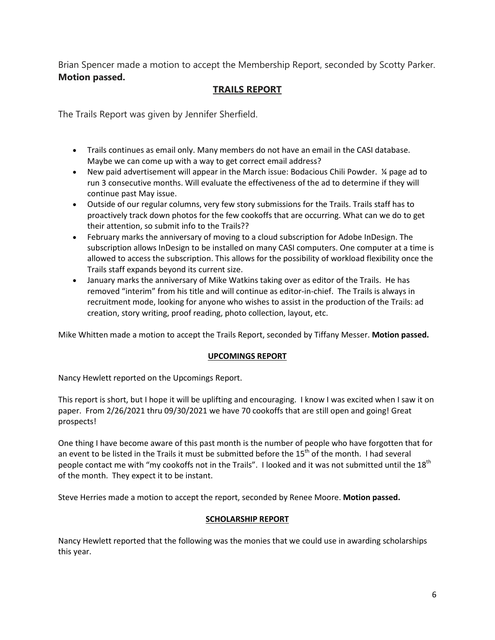Brian Spencer made a motion to accept the Membership Report, seconded by Scotty Parker. **Motion passed.**

## **TRAILS REPORT**

The Trails Report was given by Jennifer Sherfield.

- Trails continues as email only. Many members do not have an email in the CASI database. Maybe we can come up with a way to get correct email address?
- New paid advertisement will appear in the March issue: Bodacious Chili Powder. ¼ page ad to run 3 consecutive months. Will evaluate the effectiveness of the ad to determine if they will continue past May issue.
- Outside of our regular columns, very few story submissions for the Trails. Trails staff has to proactively track down photos for the few cookoffs that are occurring. What can we do to get their attention, so submit info to the Trails??
- February marks the anniversary of moving to a cloud subscription for Adobe InDesign. The subscription allows InDesign to be installed on many CASI computers. One computer at a time is allowed to access the subscription. This allows for the possibility of workload flexibility once the Trails staff expands beyond its current size.
- January marks the anniversary of Mike Watkins taking over as editor of the Trails. He has removed "interim" from his title and will continue as editor-in-chief. The Trails is always in recruitment mode, looking for anyone who wishes to assist in the production of the Trails: ad creation, story writing, proof reading, photo collection, layout, etc.

Mike Whitten made a motion to accept the Trails Report, seconded by Tiffany Messer. **Motion passed.**

#### **UPCOMINGS REPORT**

Nancy Hewlett reported on the Upcomings Report.

This report is short, but I hope it will be uplifting and encouraging. I know I was excited when I saw it on paper. From 2/26/2021 thru 09/30/2021 we have 70 cookoffs that are still open and going! Great prospects!

One thing I have become aware of this past month is the number of people who have forgotten that for an event to be listed in the Trails it must be submitted before the 15<sup>th</sup> of the month. I had several people contact me with "my cookoffs not in the Trails". I looked and it was not submitted until the 18<sup>th</sup> of the month. They expect it to be instant.

Steve Herries made a motion to accept the report, seconded by Renee Moore. **Motion passed.**

### **SCHOLARSHIP REPORT**

Nancy Hewlett reported that the following was the monies that we could use in awarding scholarships this year.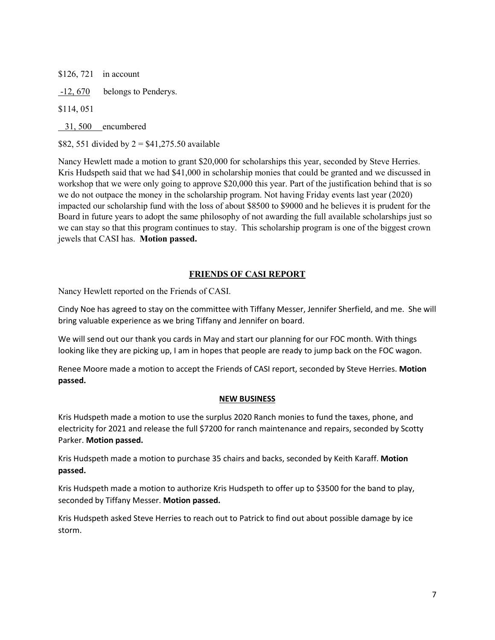\$126, 721 in account

-12, 670 belongs to Penderys.

\$114, 051

31, 500 encumbered

\$82, 551 divided by  $2 = $41,275.50$  available

Nancy Hewlett made a motion to grant \$20,000 for scholarships this year, seconded by Steve Herries. Kris Hudspeth said that we had \$41,000 in scholarship monies that could be granted and we discussed in workshop that we were only going to approve \$20,000 this year. Part of the justification behind that is so we do not outpace the money in the scholarship program. Not having Friday events last year (2020) impacted our scholarship fund with the loss of about \$8500 to \$9000 and he believes it is prudent for the Board in future years to adopt the same philosophy of not awarding the full available scholarships just so we can stay so that this program continues to stay. This scholarship program is one of the biggest crown jewels that CASI has. **Motion passed.** 

### **FRIENDS OF CASI REPORT**

Nancy Hewlett reported on the Friends of CASI.

Cindy Noe has agreed to stay on the committee with Tiffany Messer, Jennifer Sherfield, and me. She will bring valuable experience as we bring Tiffany and Jennifer on board.

We will send out our thank you cards in May and start our planning for our FOC month. With things looking like they are picking up, I am in hopes that people are ready to jump back on the FOC wagon.

Renee Moore made a motion to accept the Friends of CASI report, seconded by Steve Herries. **Motion passed.**

### **NEW BUSINESS**

Kris Hudspeth made a motion to use the surplus 2020 Ranch monies to fund the taxes, phone, and electricity for 2021 and release the full \$7200 for ranch maintenance and repairs, seconded by Scotty Parker. **Motion passed.**

Kris Hudspeth made a motion to purchase 35 chairs and backs, seconded by Keith Karaff. **Motion passed.**

Kris Hudspeth made a motion to authorize Kris Hudspeth to offer up to \$3500 for the band to play, seconded by Tiffany Messer. **Motion passed.** 

Kris Hudspeth asked Steve Herries to reach out to Patrick to find out about possible damage by ice storm.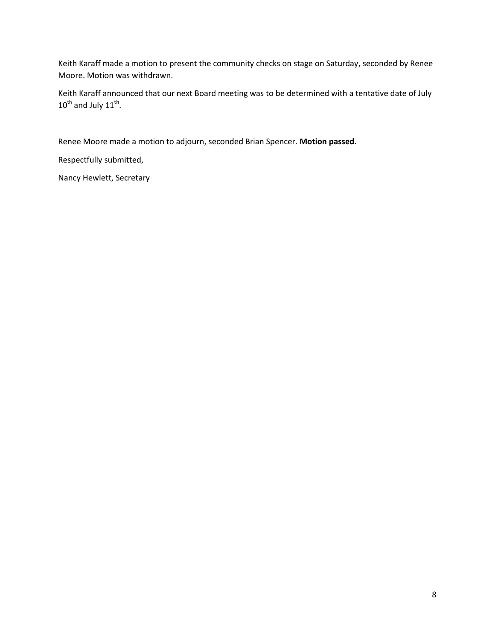Keith Karaff made a motion to present the community checks on stage on Saturday, seconded by Renee Moore. Motion was withdrawn.

Keith Karaff announced that our next Board meeting was to be determined with a tentative date of July  $10^{th}$  and July  $11^{th}$ .

Renee Moore made a motion to adjourn, seconded Brian Spencer. **Motion passed.**

Respectfully submitted,

Nancy Hewlett, Secretary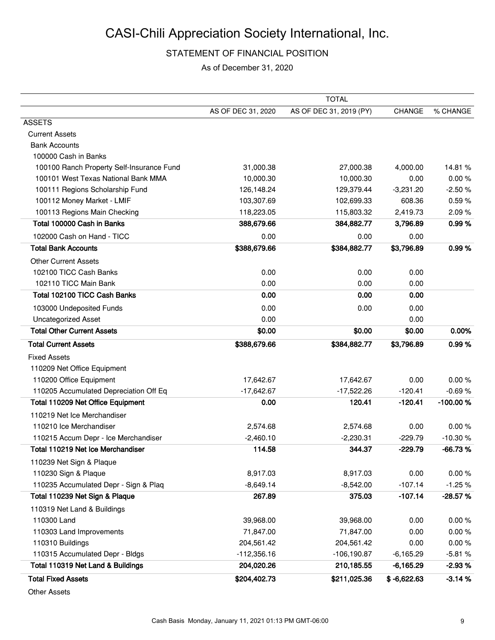## STATEMENT OF FINANCIAL POSITION

As of December 31, 2020

|                                           |                    | <b>TOTAL</b>            |               |           |
|-------------------------------------------|--------------------|-------------------------|---------------|-----------|
|                                           | AS OF DEC 31, 2020 | AS OF DEC 31, 2019 (PY) | CHANGE        | % CHANGE  |
| <b>ASSETS</b>                             |                    |                         |               |           |
| <b>Current Assets</b>                     |                    |                         |               |           |
| <b>Bank Accounts</b>                      |                    |                         |               |           |
| 100000 Cash in Banks                      |                    |                         |               |           |
| 100100 Ranch Property Self-Insurance Fund | 31,000.38          | 27,000.38               | 4,000.00      | 14.81%    |
| 100101 West Texas National Bank MMA       | 10,000.30          | 10,000.30               | 0.00          | 0.00%     |
| 100111 Regions Scholarship Fund           | 126,148.24         | 129,379.44              | $-3,231.20$   | $-2.50%$  |
| 100112 Money Market - LMIF                | 103,307.69         | 102,699.33              | 608.36        | 0.59%     |
| 100113 Regions Main Checking              | 118,223.05         | 115,803.32              | 2,419.73      | 2.09%     |
| Total 100000 Cash in Banks                | 388,679.66         | 384,882.77              | 3,796.89      | 0.99%     |
| 102000 Cash on Hand - TICC                | 0.00               | 0.00                    | 0.00          |           |
| <b>Total Bank Accounts</b>                | \$388,679.66       | \$384,882.77            | \$3,796.89    | 0.99%     |
| <b>Other Current Assets</b>               |                    |                         |               |           |
| 102100 TICC Cash Banks                    | 0.00               | 0.00                    | 0.00          |           |
| 102110 TICC Main Bank                     | 0.00               | 0.00                    | 0.00          |           |
| Total 102100 TICC Cash Banks              | 0.00               | 0.00                    | 0.00          |           |
| 103000 Undeposited Funds                  | 0.00               | 0.00                    | 0.00          |           |
| <b>Uncategorized Asset</b>                | 0.00               |                         | 0.00          |           |
| <b>Total Other Current Assets</b>         | \$0.00             | \$0.00                  | \$0.00        | 0.00%     |
| <b>Total Current Assets</b>               | \$388,679.66       | \$384,882.77            | \$3,796.89    | 0.99%     |
| <b>Fixed Assets</b>                       |                    |                         |               |           |
| 110209 Net Office Equipment               |                    |                         |               |           |
| 110200 Office Equipment                   | 17,642.67          | 17,642.67               | 0.00          | 0.00%     |
| 110205 Accumulated Depreciation Off Eq    | $-17,642.67$       | $-17,522.26$            | $-120.41$     | $-0.69%$  |
| Total 110209 Net Office Equipment         | 0.00               | 120.41                  | $-120.41$     | -100.00%  |
| 110219 Net Ice Merchandiser               |                    |                         |               |           |
| 110210 Ice Merchandiser                   | 2,574.68           | 2,574.68                | 0.00          | 0.00%     |
| 110215 Accum Depr - Ice Merchandiser      | $-2,460.10$        | $-2,230.31$             | $-229.79$     | $-10.30%$ |
| Total 110219 Net Ice Merchandiser         | 114.58             | 344.37                  | $-229.79$     | $-66.73%$ |
| 110239 Net Sign & Plaque                  |                    |                         |               |           |
| 110230 Sign & Plaque                      | 8,917.03           | 8,917.03                | 0.00          | 0.00%     |
| 110235 Accumulated Depr - Sign & Plaq     | $-8,649.14$        | $-8,542.00$             | $-107.14$     | $-1.25%$  |
| Total 110239 Net Sign & Plaque            | 267.89             | 375.03                  | $-107.14$     | $-28.57%$ |
| 110319 Net Land & Buildings               |                    |                         |               |           |
| 110300 Land                               | 39,968.00          | 39,968.00               | 0.00          | 0.00%     |
| 110303 Land Improvements                  | 71,847.00          | 71,847.00               | 0.00          | 0.00%     |
| 110310 Buildings                          | 204,561.42         | 204,561.42              | 0.00          | 0.00%     |
| 110315 Accumulated Depr - Bldgs           | $-112,356.16$      | $-106, 190.87$          | $-6,165.29$   | $-5.81%$  |
| Total 110319 Net Land & Buildings         | 204,020.26         | 210,185.55              | $-6,165.29$   | $-2.93%$  |
| <b>Total Fixed Assets</b>                 | \$204,402.73       | \$211,025.36            | $$ -6,622.63$ | 3.14%     |

Other Assets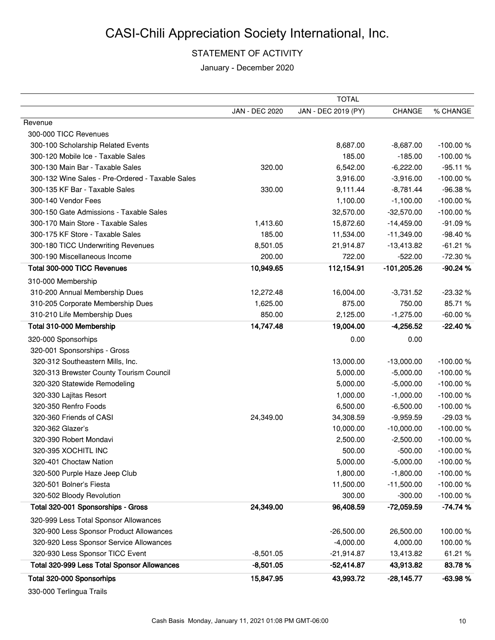## STATEMENT OF ACTIVITY

January - December 2020

|                                                  |                       | <b>TOTAL</b>        |               |            |
|--------------------------------------------------|-----------------------|---------------------|---------------|------------|
|                                                  | <b>JAN - DEC 2020</b> | JAN - DEC 2019 (PY) | <b>CHANGE</b> | % CHANGE   |
| Revenue                                          |                       |                     |               |            |
| 300-000 TICC Revenues                            |                       |                     |               |            |
| 300-100 Scholarship Related Events               |                       | 8,687.00            | $-8,687.00$   | $-100.00%$ |
| 300-120 Mobile Ice - Taxable Sales               |                       | 185.00              | $-185.00$     | $-100.00%$ |
| 300-130 Main Bar - Taxable Sales                 | 320.00                | 6,542.00            | $-6,222.00$   | $-95.11%$  |
| 300-132 Wine Sales - Pre-Ordered - Taxable Sales |                       | 3,916.00            | $-3,916.00$   | $-100.00%$ |
| 300-135 KF Bar - Taxable Sales                   | 330.00                | 9,111.44            | $-8,781.44$   | -96.38%    |
| 300-140 Vendor Fees                              |                       | 1,100.00            | $-1,100.00$   | $-100.00%$ |
| 300-150 Gate Admissions - Taxable Sales          |                       | 32,570.00           | $-32,570.00$  | $-100.00%$ |
| 300-170 Main Store - Taxable Sales               | 1,413.60              | 15,872.60           | $-14,459.00$  | $-91.09%$  |
| 300-175 KF Store - Taxable Sales                 | 185.00                | 11,534.00           | $-11,349.00$  | -98.40%    |
| 300-180 TICC Underwriting Revenues               | 8,501.05              | 21,914.87           | $-13,413.82$  | $-61.21%$  |
| 300-190 Miscellaneous Income                     | 200.00                | 722.00              | $-522.00$     | $-72.30%$  |
| Total 300-000 TICC Revenues                      | 10,949.65             | 112,154.91          | $-101,205.26$ | $-90.24%$  |
| 310-000 Membership                               |                       |                     |               |            |
| 310-200 Annual Membership Dues                   | 12,272.48             | 16,004.00           | $-3,731.52$   | $-23.32%$  |
| 310-205 Corporate Membership Dues                | 1,625.00              | 875.00              | 750.00        | 85.71%     |
| 310-210 Life Membership Dues                     | 850.00                | 2,125.00            | $-1,275.00$   | $-60.00%$  |
| Total 310-000 Membership                         | 14,747.48             | 19,004.00           | $-4,256.52$   | $-22.40%$  |
| 320-000 Sponsorhips                              |                       | 0.00                | 0.00          |            |
| 320-001 Sponsorships - Gross                     |                       |                     |               |            |
| 320-312 Southeastern Mills, Inc.                 |                       | 13,000.00           | $-13,000.00$  | $-100.00%$ |
| 320-313 Brewster County Tourism Council          |                       | 5,000.00            | $-5,000.00$   | $-100.00%$ |
| 320-320 Statewide Remodeling                     |                       | 5,000.00            | $-5,000.00$   | $-100.00%$ |
| 320-330 Lajitas Resort                           |                       | 1,000.00            | $-1,000.00$   | $-100.00%$ |
| 320-350 Renfro Foods                             |                       | 6,500.00            | $-6,500.00$   | $-100.00%$ |
| 320-360 Friends of CASI                          | 24,349.00             | 34,308.59           | $-9,959.59$   | $-29.03%$  |
| 320-362 Glazer's                                 |                       | 10,000.00           | $-10,000.00$  | $-100.00%$ |
| 320-390 Robert Mondavi                           |                       | 2,500.00            | $-2,500.00$   | $-100.00%$ |
| 320-395 XOCHITL INC                              |                       | 500.00              | $-500.00$     | $-100.00%$ |
| 320-401 Choctaw Nation                           |                       | 5,000.00            | $-5,000.00$   | $-100.00%$ |
| 320-500 Purple Haze Jeep Club                    |                       | 1,800.00            | $-1,800.00$   | -100.00%   |
| 320-501 Bolner's Fiesta                          |                       | 11,500.00           | $-11,500.00$  | $-100.00%$ |
| 320-502 Bloody Revolution                        |                       | 300.00              | $-300.00$     | $-100.00%$ |
| Total 320-001 Sponsorships - Gross               | 24,349.00             | 96,408.59           | $-72,059.59$  | $-74.74%$  |
| 320-999 Less Total Sponsor Allowances            |                       |                     |               |            |
| 320-900 Less Sponsor Product Allowances          |                       | $-26,500.00$        | 26,500.00     | 100.00%    |
| 320-920 Less Sponsor Service Allowances          |                       | $-4,000.00$         | 4,000.00      | 100.00%    |
| 320-930 Less Sponsor TICC Event                  | $-8,501.05$           | $-21,914.87$        | 13,413.82     | 61.21 %    |
| Total 320-999 Less Total Sponsor Allowances      | $-8,501.05$           | $-52,414.87$        | 43,913.82     | 83.78%     |
| Total 320-000 Sponsorhips                        | 15,847.95             | 43,993.72           | $-28,145.77$  | $-63.98%$  |
| $220.000$ Tarks and Trails                       |                       |                     |               |            |

330-000 Terlingua Trails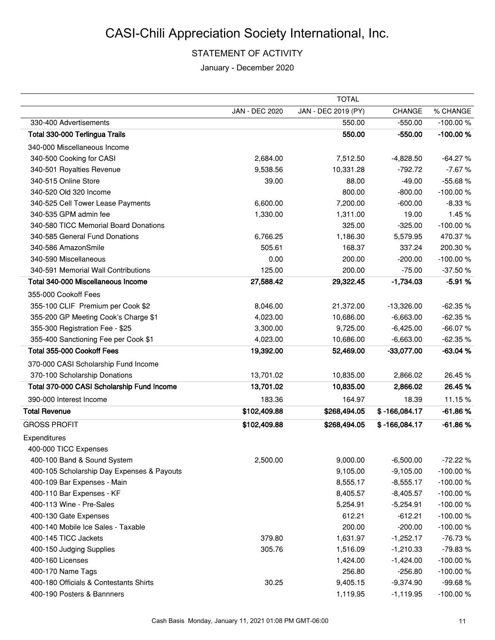## STATEMENT OF ACTIVITY

January - December 2020

|                                            |                | <b>TOTAL</b>        |                 |            |
|--------------------------------------------|----------------|---------------------|-----------------|------------|
|                                            | JAN - DEC 2020 | JAN - DEC 2019 (PY) | CHANGE          | % CHANGE   |
| 330-400 Advertisements                     |                | 550.00              | $-550.00$       | $-100.00%$ |
| Total 330-000 Terlingua Trails             |                | 550.00              | $-550.00$       | -100.00%   |
| 340-000 Miscellaneous Income               |                |                     |                 |            |
| 340-500 Cooking for CASI                   | 2,684.00       | 7,512.50            | $-4,828.50$     | $-64.27%$  |
| 340-501 Royalties Revenue                  | 9,538.56       | 10,331.28           | $-792.72$       | $-7.67%$   |
| 340-515 Online Store                       | 39.00          | 88.00               | $-49.00$        | -55.68%    |
| 340-520 Old 320 Income                     |                | 800.00              | $-800.00$       | $-100.00%$ |
| 340-525 Cell Tower Lease Payments          | 6,600.00       | 7,200.00            | $-600.00$       | $-8.33%$   |
| 340-535 GPM admin fee                      | 1,330.00       | 1,311.00            | 19.00           | 1.45%      |
| 340-580 TICC Memorial Board Donations      |                | 325.00              | $-325.00$       | $-100.00%$ |
| 340-585 General Fund Donations             | 6,766.25       | 1,186.30            | 5,579.95        | 470.37%    |
| 340-586 AmazonSmile                        | 505.61         | 168.37              | 337.24          | 200.30%    |
| 340-590 Miscellaneous                      | 0.00           | 200.00              | $-200.00$       | $-100.00%$ |
| 340-591 Memorial Wall Contributions        | 125.00         | 200.00              | $-75.00$        | $-37.50%$  |
| Total 340-000 Miscellaneous Income         | 27,588.42      | 29,322.45           | $-1,734.03$     | $-5.91%$   |
| 355-000 Cookoff Fees                       |                |                     |                 |            |
| 355-100 CLIF Premium per Cook \$2          | 8,046.00       | 21,372.00           | $-13,326.00$    | $-62.35%$  |
| 355-200 GP Meeting Cook's Charge \$1       | 4,023.00       | 10,686.00           | $-6,663.00$     | $-62.35%$  |
| 355-300 Registration Fee - \$25            | 3,300.00       | 9,725.00            | $-6,425.00$     | $-66.07%$  |
| 355-400 Sanctioning Fee per Cook \$1       | 4,023.00       | 10,686.00           | $-6,663.00$     | $-62.35%$  |
| Total 355-000 Cookoff Fees                 | 19,392.00      | 52,469.00           | $-33,077.00$    | $-63.04%$  |
| 370-000 CASI Scholarship Fund Income       |                |                     |                 |            |
| 370-100 Scholarship Donations              | 13,701.02      | 10,835.00           | 2,866.02        | 26.45%     |
| Total 370-000 CASI Scholarship Fund Income | 13,701.02      | 10,835.00           | 2,866.02        | 26.45%     |
| 390-000 Interest Income                    | 183.36         | 164.97              | 18.39           | 11.15%     |
| <b>Total Revenue</b>                       | \$102,409.88   | \$268,494.05        | $$ -166,084.17$ | $-61.86%$  |
|                                            |                |                     |                 |            |
| <b>GROSS PROFIT</b>                        | \$102,409.88   | \$268,494.05        | $$ -166,084.17$ | $-61.86%$  |
| Expenditures                               |                |                     |                 |            |
| 400-000 TICC Expenses                      |                |                     |                 |            |
| 400-100 Band & Sound System                | 2,500.00       | 9,000.00            | $-6,500.00$     | $-72.22%$  |
| 400-105 Scholarship Day Expenses & Payouts |                | 9,105.00            | $-9,105.00$     | $-100.00%$ |
| 400-109 Bar Expenses - Main                |                | 8,555.17            | $-8,555.17$     | $-100.00%$ |
| 400-110 Bar Expenses - KF                  |                | 8,405.57            | $-8,405.57$     | $-100.00%$ |
| 400-113 Wine - Pre-Sales                   |                | 5,254.91            | $-5,254.91$     | $-100.00%$ |
| 400-130 Gate Expenses                      |                | 612.21              | $-612.21$       | $-100.00%$ |
| 400-140 Mobile Ice Sales - Taxable         |                | 200.00              | $-200.00$       | $-100.00%$ |
| 400-145 TICC Jackets                       | 379.80         | 1,631.97            | $-1,252.17$     | $-76.73%$  |
| 400-150 Judging Supplies                   | 305.76         | 1,516.09            | $-1,210.33$     | -79.83%    |
| 400-160 Licenses                           |                | 1,424.00            | $-1,424.00$     | $-100.00%$ |
| 400-170 Name Tags                          |                | 256.80              | $-256.80$       | $-100.00%$ |
| 400-180 Officials & Contestants Shirts     | 30.25          | 9,405.15            | $-9,374.90$     | -99.68%    |
| 400-190 Posters & Bannners                 |                | 1,119.95            | $-1,119.95$     | $-100.00%$ |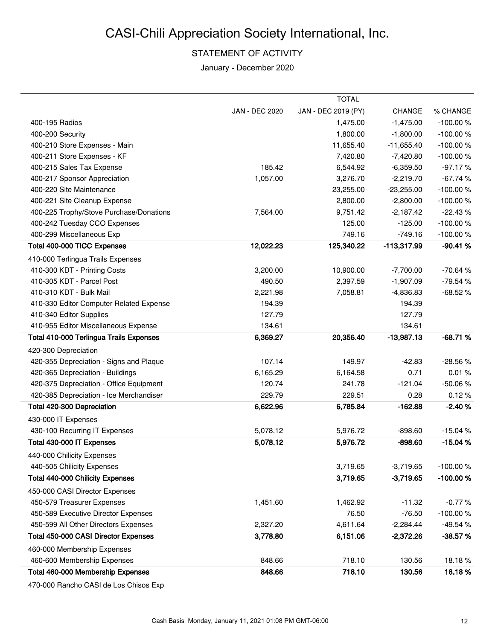## STATEMENT OF ACTIVITY

January - December 2020

|                                                |                | <b>TOTAL</b>        |              |            |
|------------------------------------------------|----------------|---------------------|--------------|------------|
|                                                | JAN - DEC 2020 | JAN - DEC 2019 (PY) | CHANGE       | % CHANGE   |
| 400-195 Radios                                 |                | 1,475.00            | $-1,475.00$  | $-100.00%$ |
| 400-200 Security                               |                | 1,800.00            | $-1,800.00$  | -100.00%   |
| 400-210 Store Expenses - Main                  |                | 11,655.40           | $-11,655.40$ | $-100.00%$ |
| 400-211 Store Expenses - KF                    |                | 7,420.80            | $-7,420.80$  | -100.00%   |
| 400-215 Sales Tax Expense                      | 185.42         | 6,544.92            | $-6,359.50$  | $-97.17%$  |
| 400-217 Sponsor Appreciation                   | 1,057.00       | 3,276.70            | $-2,219.70$  | $-67.74%$  |
| 400-220 Site Maintenance                       |                | 23,255.00           | $-23,255.00$ | $-100.00%$ |
| 400-221 Site Cleanup Expense                   |                | 2,800.00            | $-2,800.00$  | $-100.00%$ |
| 400-225 Trophy/Stove Purchase/Donations        | 7,564.00       | 9,751.42            | $-2,187.42$  | $-22.43%$  |
| 400-242 Tuesday CCO Expenses                   |                | 125.00              | $-125.00$    | $-100.00%$ |
| 400-299 Miscellaneous Exp                      |                | 749.16              | $-749.16$    | $-100.00%$ |
| Total 400-000 TICC Expenses                    | 12,022.23      | 125,340.22          | -113,317.99  | $-90.41%$  |
| 410-000 Terlingua Trails Expenses              |                |                     |              |            |
| 410-300 KDT - Printing Costs                   | 3,200.00       | 10,900.00           | $-7,700.00$  | $-70.64%$  |
| 410-305 KDT - Parcel Post                      | 490.50         | 2,397.59            | $-1,907.09$  | -79.54 %   |
| 410-310 KDT - Bulk Mail                        | 2,221.98       | 7,058.81            | $-4,836.83$  | $-68.52%$  |
| 410-330 Editor Computer Related Expense        | 194.39         |                     | 194.39       |            |
| 410-340 Editor Supplies                        | 127.79         |                     | 127.79       |            |
| 410-955 Editor Miscellaneous Expense           | 134.61         |                     | 134.61       |            |
| <b>Total 410-000 Terlingua Trails Expenses</b> | 6,369.27       | 20,356.40           | $-13,987.13$ | $-68.71%$  |
| 420-300 Depreciation                           |                |                     |              |            |
| 420-355 Depreciation - Signs and Plaque        | 107.14         | 149.97              | $-42.83$     | -28.56 %   |
| 420-365 Depreciation - Buildings               | 6,165.29       | 6,164.58            | 0.71         | 0.01%      |
| 420-375 Depreciation - Office Equipment        | 120.74         | 241.78              | $-121.04$    | -50.06%    |
| 420-385 Depreciation - Ice Merchandiser        | 229.79         | 229.51              | 0.28         | 0.12%      |
| Total 420-300 Depreciation                     | 6,622.96       | 6,785.84            | $-162.88$    | $-2.40%$   |
| 430-000 IT Expenses                            |                |                     |              |            |
| 430-100 Recurring IT Expenses                  | 5,078.12       | 5,976.72            | $-898.60$    | $-15.04%$  |
| Total 430-000 IT Expenses                      | 5,078.12       | 5,976.72            | $-898.60$    | $-15.04%$  |
| 440-000 Chilicity Expenses                     |                |                     |              |            |
| 440-505 Chilicity Expenses                     |                | 3,719.65            | $-3,719.65$  | -100.00%   |
| Total 440-000 Chilicity Expenses               |                | 3,719.65            | $-3,719.65$  | -100.00%   |
| 450-000 CASI Director Expenses                 |                |                     |              |            |
| 450-579 Treasurer Expenses                     | 1,451.60       | 1,462.92            | $-11.32$     | $-0.77%$   |
| 450-589 Executive Director Expenses            |                | 76.50               | $-76.50$     | $-100.00%$ |
| 450-599 All Other Directors Expenses           | 2,327.20       | 4,611.64            | $-2,284.44$  | -49.54 %   |
| <b>Total 450-000 CASI Director Expenses</b>    | 3,778.80       | 6,151.06            | $-2,372.26$  | $-38.57%$  |
| 460-000 Membership Expenses                    |                |                     |              |            |
| 460-600 Membership Expenses                    | 848.66         | 718.10              | 130.56       | 18.18%     |
| Total 460-000 Membership Expenses              | 848.66         | 718.10              | 130.56       | 18.18%     |
|                                                |                |                     |              |            |

470-000 Rancho CASI de Los Chisos Exp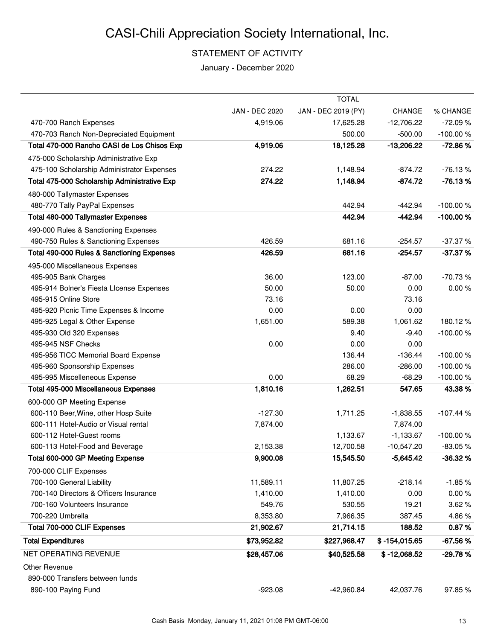## STATEMENT OF ACTIVITY

January - December 2020

|                                              |                | <b>TOTAL</b>        |                 |            |
|----------------------------------------------|----------------|---------------------|-----------------|------------|
|                                              | JAN - DEC 2020 | JAN - DEC 2019 (PY) | CHANGE          | % CHANGE   |
| 470-700 Ranch Expenses                       | 4,919.06       | 17,625.28           | $-12,706.22$    | $-72.09%$  |
| 470-703 Ranch Non-Depreciated Equipment      |                | 500.00              | $-500.00$       | $-100.00%$ |
| Total 470-000 Rancho CASI de Los Chisos Exp  | 4,919.06       | 18,125.28           | $-13,206.22$    | $-72.86%$  |
| 475-000 Scholarship Administrative Exp       |                |                     |                 |            |
| 475-100 Scholarship Administrator Expenses   | 274.22         | 1,148.94            | $-874.72$       | $-76.13%$  |
| Total 475-000 Scholarship Administrative Exp | 274.22         | 1,148.94            | $-874.72$       | $-76.13%$  |
| 480-000 Tallymaster Expenses                 |                |                     |                 |            |
| 480-770 Tally PayPal Expenses                |                | 442.94              | $-442.94$       | $-100.00%$ |
| <b>Total 480-000 Tallymaster Expenses</b>    |                | 442.94              | $-442.94$       | $-100.00%$ |
| 490-000 Rules & Sanctioning Expenses         |                |                     |                 |            |
| 490-750 Rules & Sanctioning Expenses         | 426.59         | 681.16              | $-254.57$       | $-37.37%$  |
| Total 490-000 Rules & Sanctioning Expenses   | 426.59         | 681.16              | $-254.57$       | $-37.37%$  |
| 495-000 Miscellaneous Expenses               |                |                     |                 |            |
| 495-905 Bank Charges                         | 36.00          | 123.00              | $-87.00$        | $-70.73%$  |
| 495-914 Bolner's Fiesta Llcense Expenses     | 50.00          | 50.00               | 0.00            | 0.00%      |
| 495-915 Online Store                         | 73.16          |                     | 73.16           |            |
| 495-920 Picnic Time Expenses & Income        | 0.00           | 0.00                | 0.00            |            |
| 495-925 Legal & Other Expense                | 1,651.00       | 589.38              | 1,061.62        | 180.12%    |
| 495-930 Old 320 Expenses                     |                | 9.40                | $-9.40$         | $-100.00%$ |
| 495-945 NSF Checks                           | 0.00           | 0.00                | 0.00            |            |
| 495-956 TICC Memorial Board Expense          |                | 136.44              | $-136.44$       | $-100.00%$ |
| 495-960 Sponsorship Expenses                 |                | 286.00              | $-286.00$       | $-100.00%$ |
| 495-995 Miscelleneous Expense                | 0.00           | 68.29               | $-68.29$        | $-100.00%$ |
| <b>Total 495-000 Miscellaneous Expenses</b>  | 1,810.16       | 1,262.51            | 547.65          | 43.38%     |
| 600-000 GP Meeting Expense                   |                |                     |                 |            |
| 600-110 Beer, Wine, other Hosp Suite         | $-127.30$      | 1,711.25            | $-1,838.55$     | $-107.44%$ |
| 600-111 Hotel-Audio or Visual rental         | 7,874.00       |                     | 7,874.00        |            |
| 600-112 Hotel-Guest rooms                    |                | 1,133.67            | $-1,133.67$     | $-100.00%$ |
| 600-113 Hotel-Food and Beverage              | 2,153.38       | 12,700.58           | $-10,547.20$    | $-83.05%$  |
| Total 600-000 GP Meeting Expense             | 9,900.08       | 15,545.50           | $-5,645.42$     | $-36.32%$  |
| 700-000 CLIF Expenses                        |                |                     |                 |            |
| 700-100 General Liability                    | 11,589.11      | 11,807.25           | $-218.14$       | $-1.85%$   |
| 700-140 Directors & Officers Insurance       | 1,410.00       | 1,410.00            | 0.00            | 0.00%      |
| 700-160 Volunteers Insurance                 | 549.76         | 530.55              | 19.21           | 3.62%      |
| 700-220 Umbrella                             | 8,353.80       | 7,966.35            | 387.45          | 4.86%      |
| Total 700-000 CLIF Expenses                  | 21,902.67      | 21,714.15           | 188.52          | 0.87%      |
| <b>Total Expenditures</b>                    | \$73,952.82    | \$227,968.47        | $$ -154,015.65$ | $-67.56%$  |
| NET OPERATING REVENUE                        | \$28,457.06    | \$40,525.58         | $$ -12,068.52$  | $-29.78%$  |
| <b>Other Revenue</b>                         |                |                     |                 |            |
| 890-000 Transfers between funds              |                |                     |                 |            |
| 890-100 Paying Fund                          | $-923.08$      | $-42,960.84$        | 42,037.76       | 97.85%     |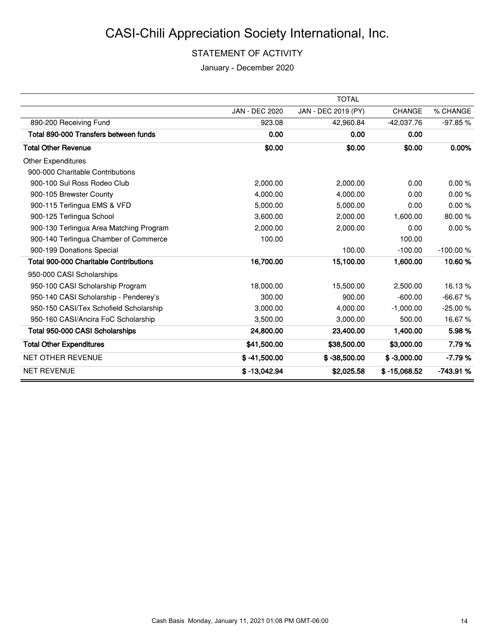## STATEMENT OF ACTIVITY

January - December 2020

|                                         |                       | <b>TOTAL</b>        |                |            |
|-----------------------------------------|-----------------------|---------------------|----------------|------------|
|                                         | <b>JAN - DEC 2020</b> | JAN - DEC 2019 (PY) | <b>CHANGE</b>  | % CHANGE   |
| 890-200 Receiving Fund                  | 923.08                | 42,960.84           | $-42,037.76$   | -97.85%    |
| Total 890-000 Transfers between funds   | 0.00                  | 0.00                | 0.00           |            |
| <b>Total Other Revenue</b>              | \$0.00                | \$0.00              | \$0.00         | 0.00%      |
| <b>Other Expenditures</b>               |                       |                     |                |            |
| 900-000 Charitable Contributions        |                       |                     |                |            |
| 900-100 Sul Ross Rodeo Club             | 2,000.00              | 2,000.00            | 0.00           | 0.00%      |
| 900-105 Brewster County                 | 4,000.00              | 4,000.00            | 0.00           | 0.00%      |
| 900-115 Terlingua EMS & VFD             | 5,000.00              | 5,000.00            | 0.00           | 0.00%      |
| 900-125 Terlingua School                | 3,600.00              | 2.000.00            | 1,600.00       | 80.00%     |
| 900-130 Terlingua Area Matching Program | 2,000.00              | 2,000.00            | 0.00           | 0.00%      |
| 900-140 Terlingua Chamber of Commerce   | 100.00                |                     | 100.00         |            |
| 900-199 Donations Special               |                       | 100.00              | $-100.00$      | $-100.00%$ |
| Total 900-000 Charitable Contributions  | 16,700.00             | 15,100.00           | 1,600.00       | 10.60%     |
| 950-000 CASI Scholarships               |                       |                     |                |            |
| 950-100 CASI Scholarship Program        | 18,000.00             | 15,500.00           | 2,500.00       | 16.13%     |
| 950-140 CASI Scholarship - Penderey's   | 300.00                | 900.00              | $-600.00$      | $-66.67%$  |
| 950-150 CASI/Tex Schofield Scholarship  | 3.000.00              | 4.000.00            | $-1.000.00$    | $-25.00%$  |
| 950-160 CASI/Ancira FoC Scholarship     | 3,500.00              | 3,000.00            | 500.00         | 16.67%     |
| Total 950-000 CASI Scholarships         | 24,800.00             | 23,400.00           | 1,400.00       | 5.98%      |
| <b>Total Other Expenditures</b>         | \$41,500.00           | \$38,500.00         | \$3,000.00     | 7.79%      |
| <b>NET OTHER REVENUE</b>                | $$ -41,500.00$        | $$ -38,500.00$      | $$ -3,000.00$  | $-7.79%$   |
| <b>NET REVENUE</b>                      | $$ -13,042.94$        | \$2,025.58          | $$ -15,068.52$ | $-743.91%$ |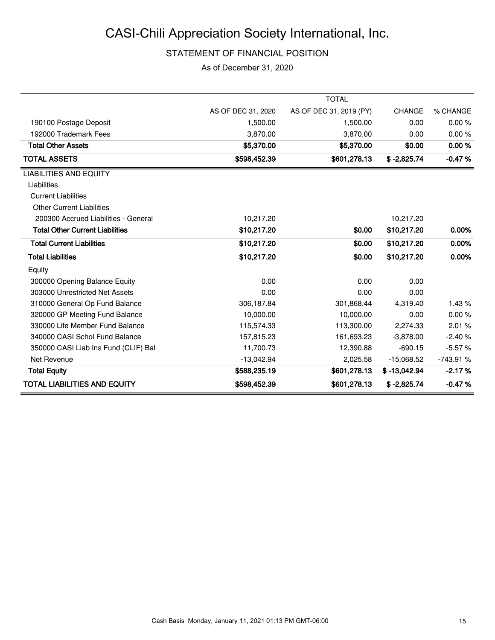## STATEMENT OF FINANCIAL POSITION

As of December 31, 2020

|                                        |                    | <b>TOTAL</b>            |                |            |
|----------------------------------------|--------------------|-------------------------|----------------|------------|
|                                        | AS OF DEC 31, 2020 | AS OF DEC 31, 2019 (PY) | <b>CHANGE</b>  | % CHANGE   |
| 190100 Postage Deposit                 | 1,500.00           | 1,500.00                | 0.00           | 0.00%      |
| 192000 Trademark Fees                  | 3.870.00           | 3.870.00                | 0.00           | 0.00%      |
| <b>Total Other Assets</b>              | \$5,370.00         | \$5,370.00              | \$0.00         | 0.00%      |
| <b>TOTAL ASSETS</b>                    | \$598,452.39       | \$601,278.13            | $$ -2,825.74$  | $-0.47%$   |
| <b>LIABILITIES AND EQUITY</b>          |                    |                         |                |            |
| Liabilities                            |                    |                         |                |            |
| <b>Current Liabilities</b>             |                    |                         |                |            |
| <b>Other Current Liabilities</b>       |                    |                         |                |            |
| 200300 Accrued Liabilities - General   | 10,217.20          |                         | 10,217.20      |            |
| <b>Total Other Current Liabilities</b> | \$10,217.20        | \$0.00                  | \$10,217.20    | 0.00%      |
| <b>Total Current Liabilities</b>       | \$10,217.20        | \$0.00                  | \$10,217.20    | 0.00%      |
| <b>Total Liabilities</b>               | \$10,217.20        | \$0.00                  | \$10,217.20    | 0.00%      |
| Equity                                 |                    |                         |                |            |
| 300000 Opening Balance Equity          | 0.00               | 0.00                    | 0.00           |            |
| 303000 Unrestricted Net Assets         | 0.00               | 0.00                    | 0.00           |            |
| 310000 General Op Fund Balance         | 306,187.84         | 301,868.44              | 4,319.40       | 1.43%      |
| 320000 GP Meeting Fund Balance         | 10,000.00          | 10,000.00               | 0.00           | 0.00%      |
| 330000 Life Member Fund Balance        | 115,574.33         | 113,300.00              | 2,274.33       | 2.01%      |
| 340000 CASI Schol Fund Balance         | 157,815.23         | 161,693.23              | $-3.878.00$    | $-2.40%$   |
| 350000 CASI Liab Ins Fund (CLIF) Bal   | 11,700.73          | 12,390.88               | $-690.15$      | $-5.57%$   |
| Net Revenue                            | $-13,042.94$       | 2,025.58                | $-15,068.52$   | $-743.91%$ |
| <b>Total Equity</b>                    | \$588,235.19       | \$601,278.13            | $$ -13,042.94$ | $-2.17%$   |
| <b>TOTAL LIABILITIES AND EQUITY</b>    | \$598,452.39       | \$601,278.13            | $$ -2.825.74$  | $-0.47%$   |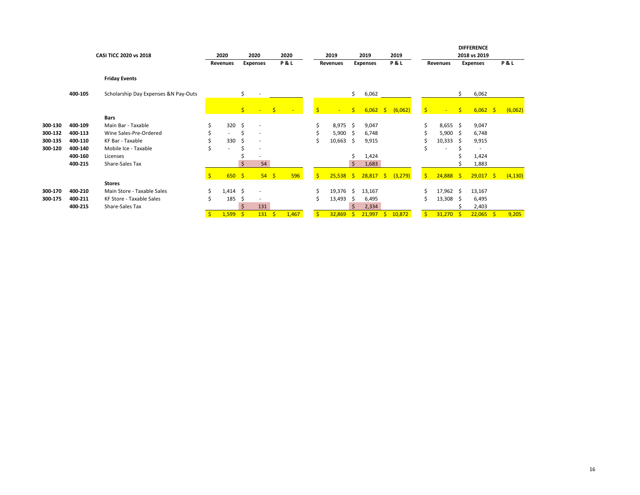|         |         | CASI TICC 2020 vs 2018               |    | 2020<br>2020<br><b>Expenses</b><br>Revenues |     | 2020<br>2019<br><b>P&amp;L</b><br>Revenues |   | 2019<br><b>Expenses</b> |     | 2019<br>P&L |     |            | Revenues | <b>DIFFERENCE</b><br>2018 vs 2019<br><b>Expenses</b> |              |            | P&L          |             |    |          |
|---------|---------|--------------------------------------|----|---------------------------------------------|-----|--------------------------------------------|---|-------------------------|-----|-------------|-----|------------|----------|------------------------------------------------------|--------------|------------|--------------|-------------|----|----------|
|         |         |                                      |    |                                             |     |                                            |   |                         |     |             |     |            |          |                                                      |              |            |              |             |    |          |
|         |         | <b>Friday Events</b>                 |    |                                             |     |                                            |   |                         |     |             |     |            |          |                                                      |              |            |              |             |    |          |
|         | 400-105 | Scholarship Day Expenses &N Pay-Outs |    |                                             | \$  |                                            |   |                         |     |             | \$  | 6,062      |          |                                                      |              |            | \$           | 6,062       |    |          |
|         |         |                                      |    |                                             | \$. | $-5$                                       |   | $\sim$ $-$              | \$  | $\sim$      | \$. | $6,062$ \$ |          | (6,062)                                              | $\mathsf{S}$ | $\sim$     | $\mathsf{S}$ | $6,062$ \$  |    | (6,062)  |
|         |         | Bars                                 |    |                                             |     |                                            |   |                         |     |             |     |            |          |                                                      |              |            |              |             |    |          |
| 300-130 | 400-109 | Main Bar - Taxable                   | \$ | 320                                         | Ŝ.  | $\overline{\phantom{a}}$                   |   |                         | \$  | $8,975$ \$  |     | 9,047      |          |                                                      | Ś            | $8,655$ \$ |              | 9,047       |    |          |
| 300-132 | 400-113 | Wine Sales-Pre-Ordered               |    | $\sim$                                      | Ś   | ٠.                                         |   |                         |     | $5,900$ \$  |     | 6,748      |          |                                                      |              | 5,900      | -Ś           | 6,748       |    |          |
| 300-135 | 400-110 | KF Bar - Taxable                     |    | 330                                         | \$  |                                            |   |                         | \$  | 10,663      | - S | 9,915      |          |                                                      | S            | 10,333     | -S           | 9,915       |    |          |
| 300-120 | 400-140 | Mobile Ice - Taxable                 | \$ | ٠                                           | Ś   |                                            |   |                         |     |             |     |            |          |                                                      | S            |            |              |             |    |          |
|         | 400-160 | Licenses                             |    |                                             |     |                                            |   |                         |     |             |     | 1,424      |          |                                                      |              |            |              | 1,424       |    |          |
|         | 400-215 | Share-Sales Tax                      |    |                                             | Ś   | 54                                         |   |                         |     |             | ς   | 1,683      |          |                                                      |              |            |              | 1,883       |    |          |
|         |         |                                      | Ś  | 650S                                        |     | $54 \quad$                                 |   | 596                     | Ś   | $25,538$ \$ |     | 28,817     | -\$      | (3, 279)                                             | S.           | 24,888     | $\mathsf{S}$ | $29,017$ \$ |    | (4, 130) |
|         |         | <b>Stores</b>                        |    |                                             |     |                                            |   |                         |     |             |     |            |          |                                                      |              |            |              |             |    |          |
| 300-170 | 400-210 | Main Store - Taxable Sales           | \$ | $1,414$ \$                                  |     |                                            |   |                         | \$  | 19,376 \$   |     | 13,167     |          |                                                      | Ś            | 17,962 \$  |              | 13,167      |    |          |
| 300-175 | 400-211 | KF Store - Taxable Sales             |    | 185                                         | \$  |                                            |   |                         | Ś   | 13,493      | S   | 6,495      |          |                                                      | Ś            | 13,308     | - \$         | 6,495       |    |          |
|         | 400-215 | Share-Sales Tax                      |    |                                             | Ś   | 131                                        |   |                         |     |             |     | 2,334      |          |                                                      |              |            |              | 2,403       |    |          |
|         |         |                                      | Ŝ. | 1,599                                       | Ŝ   | 131                                        | Ŝ | 1,467                   | '\$ | 32,869      | S   | 21,997     | 'S       | 10,872                                               | $\mathsf{S}$ | 31,270     | -Ś           | 22,065      | -S | 9,205    |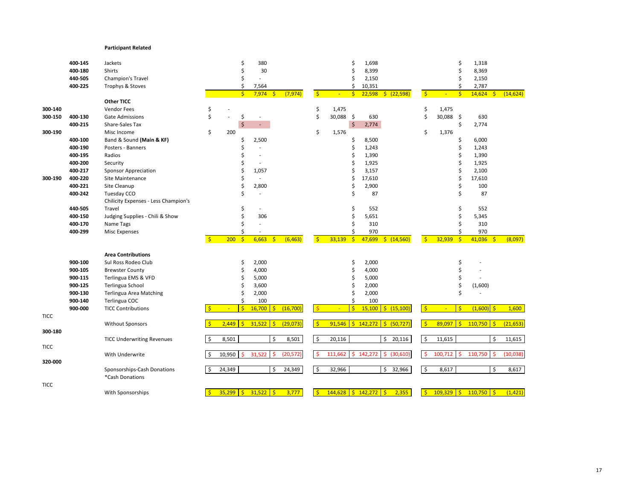#### **Participant Related**

|             | 400-145 | Jackets                              |              |                | \$                      | 380                          |           |               |                           | \$                 | 1,698       |                        |                    |              | \$           | 1,318        |              |           |
|-------------|---------|--------------------------------------|--------------|----------------|-------------------------|------------------------------|-----------|---------------|---------------------------|--------------------|-------------|------------------------|--------------------|--------------|--------------|--------------|--------------|-----------|
|             | 400-180 | Shirts                               |              |                | Ś                       | 30                           |           |               |                           |                    | 8,399       |                        |                    |              |              | 8,369        |              |           |
|             | 440-505 | Champion's Travel                    |              |                | Ś                       |                              |           |               |                           | Ś                  | 2,150       |                        |                    |              | Ś            | 2,150        |              |           |
|             | 400-225 | Trophys & Stoves                     |              |                | \$                      | 7,564                        |           |               |                           | Ś                  | 10,351      |                        |                    |              | \$           | 2,787        |              |           |
|             |         |                                      |              |                | $\mathsf{S}$            | 7,974<br>-\$                 | (7, 974)  | $\frac{1}{2}$ |                           | Ŝ                  | 22,598      | $\sqrt{22,598}$        | $\mathsf{S}$       |              | $\mathsf{S}$ | 14,624       | -\$          | (14, 624) |
|             |         | Other TICC                           |              |                |                         |                              |           |               |                           |                    |             |                        |                    |              |              |              |              |           |
| 300-140     |         | <b>Vendor Fees</b>                   | \$           |                |                         |                              |           | \$            | 1,475                     |                    |             |                        | \$                 | 1,475        |              |              |              |           |
| 300-150     | 400-130 | <b>Gate Admissions</b>               | \$           | $\overline{a}$ | \$                      | $\overline{\phantom{a}}$     |           | \$            | 30,088 \$                 |                    | 630         |                        | \$                 | 30,088 \$    |              | 630          |              |           |
|             | 400-215 | Share-Sales Tax                      |              |                | $\ddot{\varsigma}$      | ÷.                           |           |               |                           | $\frac{1}{2}$      | 2,774       |                        |                    |              | \$           | 2,774        |              |           |
| 300-190     |         | Misc Income                          | \$           | 200            |                         |                              |           | \$            | 1,576                     |                    |             |                        | \$                 | 1,376        |              |              |              |           |
|             | 400-100 | Band & Sound (Main & KF)             |              |                | \$                      | 2,500                        |           |               |                           | Ś                  | 8,500       |                        |                    |              | \$           | 6,000        |              |           |
|             | 400-190 | Posters - Banners                    |              |                | Ś                       |                              |           |               |                           | Ś                  | 1,243       |                        |                    |              | Ś            | 1,243        |              |           |
|             | 400-195 | Radios                               |              |                | Ś                       | $\overline{\phantom{a}}$     |           |               |                           | Ś                  | 1,390       |                        |                    |              | Ś            | 1,390        |              |           |
|             | 400-200 | Security                             |              |                | \$                      |                              |           |               |                           | Ś                  | 1,925       |                        |                    |              | \$           | 1,925        |              |           |
|             | 400-217 | <b>Sponsor Appreciation</b>          |              |                | Ś                       | 1,057                        |           |               |                           | Ś                  | 3,157       |                        |                    |              |              | 2,100        |              |           |
| 300-190     | 400-220 | Site Maintenance                     |              |                | Ś                       | ÷,                           |           |               |                           | Ś                  | 17,610      |                        |                    |              | Ś            | 17,610       |              |           |
|             | 400-221 | Site Cleanup                         |              |                | \$                      | 2,800                        |           |               |                           | Ś                  | 2,900       |                        |                    |              | Ś            | 100          |              |           |
|             | 400-242 | Tuesday CCO                          |              |                | Ś                       | ÷.                           |           |               |                           | \$                 | 87          |                        |                    |              | Ś            | 87           |              |           |
|             |         | Chilicity Expenses - Less Champion's |              |                |                         |                              |           |               |                           |                    |             |                        |                    |              |              |              |              |           |
|             | 440-505 | Travel                               |              |                | \$                      |                              |           |               |                           | Ś                  | 552         |                        |                    |              | Ś            | 552          |              |           |
|             | 400-150 | Judging Supplies - Chili & Show      |              |                | Ś                       | 306                          |           |               |                           | Ś                  | 5,651       |                        |                    |              | \$           | 5,345        |              |           |
|             | 400-170 | Name Tags                            |              |                | Ś                       |                              |           |               |                           |                    | 310         |                        |                    |              | Ś            | 310          |              |           |
|             | 400-299 | <b>Misc Expenses</b>                 |              |                | \$                      |                              |           |               |                           |                    | 970         |                        |                    |              | \$           | 970          |              |           |
|             |         |                                      | $\mathsf{S}$ | 200            | $\mathsf{S}$            | 6,663<br>-Ś                  | (6, 463)  | $\mathsf{S}$  | 33,139                    | $\mathsf{\hat{S}}$ | 47,699      | \$(14,560)             | $\mathsf{S}$       | 32,939       | $\mathsf{S}$ | 41,036       | $\mathsf{S}$ | (8,097)   |
|             |         |                                      |              |                |                         |                              |           |               |                           |                    |             |                        |                    |              |              |              |              |           |
|             |         | <b>Area Contributions</b>            |              |                |                         |                              |           |               |                           |                    |             |                        |                    |              |              |              |              |           |
|             | 900-100 | Sul Ross Rodeo Club                  |              |                | \$                      | 2,000                        |           |               |                           | \$                 | 2,000       |                        |                    |              | \$           |              |              |           |
|             | 900-105 | <b>Brewster County</b>               |              |                | \$                      | 4,000                        |           |               |                           | Ś                  | 4,000       |                        |                    |              |              |              |              |           |
|             | 900-115 | Terlingua EMS & VFD                  |              |                | Ś                       | 5,000                        |           |               |                           | Ś                  | 5,000       |                        |                    |              | \$           |              |              |           |
|             | 900-125 | Terlingua School                     |              |                | \$                      | 3,600                        |           |               |                           | Ś                  | 2,000       |                        |                    |              | \$           | (1,600)      |              |           |
|             | 900-130 | Terlingua Area Matching              |              |                | Ś                       | 2,000                        |           |               |                           |                    | 2,000       |                        |                    |              | Ś            |              |              |           |
|             | 900-140 | Terlingua COC                        |              |                | \$                      | 100                          |           |               |                           | Ś                  | 100         |                        |                    |              |              |              |              |           |
|             | 900-000 | <b>TICC Contributions</b>            |              | ÷              | $\overline{\mathsf{S}}$ | 16,700<br>-\$                | (16, 700) |               |                           | $\ddot{\varsigma}$ | 15,100      | $\frac{1}{2}$ (15,100) | $\mathsf{S}$       | $\sim$       | $\mathsf{S}$ | $(1,600)$ \$ |              | 1,600     |
| <b>TICC</b> |         |                                      |              |                |                         |                              |           |               |                           |                    |             |                        |                    |              |              |              |              |           |
|             |         | <b>Without Sponsors</b>              |              | 2.449          | Š.                      | 31.522<br>$\mathsf{\hat{S}}$ | (29, 073) | $\mathsf{S}$  | 91.546                    |                    | $5$ 142.272 | 5(50, 727)             | $\mathsf{S}$       | 89,097       | $\mathsf{S}$ | $110,750$ \$ |              | (21, 653) |
| 300-180     |         |                                      |              |                |                         |                              |           |               |                           |                    |             |                        |                    |              |              |              |              |           |
|             |         | <b>TICC Underwriting Revenues</b>    |              | 8,501          |                         | \$                           | 8,501     | \$            | 20,116                    |                    |             | 20,116<br>\$           | \$                 | 11,615       |              |              | \$           | 11,615    |
| <b>TICC</b> |         |                                      |              |                |                         |                              |           |               |                           |                    |             |                        |                    |              |              |              |              |           |
|             |         | With Underwrite                      |              | 10,950         | Ŝ                       | 31,522                       | (20, 572) | $\mathsf{S}$  | 111,662                   | Ś.                 | 142,272     | (30,610)<br>Ŝ.         | $\mathsf{S}$       | 100,712      | Ŝ.           | 110,750      | -Ś           | (10, 038) |
| 320-000     |         |                                      |              |                |                         |                              |           |               |                           |                    |             |                        |                    |              |              |              |              |           |
|             |         | Sponsorships-Cash Donations          |              | 24,349         |                         | Ŝ                            | 24,349    | $\zeta$       | 32,966                    |                    |             | 32,966<br>Ŝ.           | $\mathsf{\hat{S}}$ | 8,617        |              |              | Ŝ.           | 8,617     |
|             |         | *Cash Donations                      |              |                |                         |                              |           |               |                           |                    |             |                        |                    |              |              |              |              |           |
| <b>TICC</b> |         |                                      |              |                |                         |                              |           |               |                           |                    |             |                        |                    |              |              |              |              |           |
|             |         | With Sponsorships                    |              | $35,299$ \$    |                         | $31,522$ \$                  | 3,777     | Š.            | $144,628$ \$ $142,272$ \$ |                    |             | 2,355                  | $\mathsf{S}$       | $109,329$ \$ |              | $110,750$ \$ |              | (1, 421)  |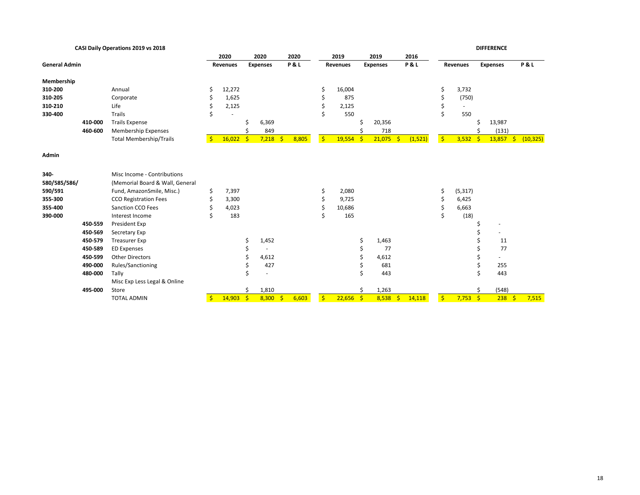|                      | CASI Daily Operations 2019 vs 2018 |                                 |    |          |              |                 |              |                |              |        |              |                       |                |                 |          | <b>DIFFERENCE</b> |                          |                 |
|----------------------|------------------------------------|---------------------------------|----|----------|--------------|-----------------|--------------|----------------|--------------|--------|--------------|-----------------------|----------------|-----------------|----------|-------------------|--------------------------|-----------------|
|                      |                                    |                                 |    | 2020     |              | 2020            |              | 2020           |              | 2019   |              | 2019                  | 2016           |                 |          |                   |                          |                 |
| <b>General Admin</b> |                                    |                                 |    | Revenues |              | <b>Expenses</b> |              | <b>P&amp;L</b> | Revenues     |        |              | <b>Expenses</b>       | <b>P&amp;L</b> | <b>Revenues</b> |          | <b>Expenses</b>   |                          | <b>P&amp;L</b>  |
|                      |                                    |                                 |    |          |              |                 |              |                |              |        |              |                       |                |                 |          |                   |                          |                 |
| Membership           |                                    |                                 |    |          |              |                 |              |                |              |        |              |                       |                |                 |          |                   |                          |                 |
| 310-200              |                                    | Annual                          | \$ | 12,272   |              |                 |              |                |              | 16,004 |              |                       |                | \$              | 3,732    |                   |                          |                 |
| 310-205              |                                    | Corporate                       |    | 1,625    |              |                 |              |                |              | 875    |              |                       |                |                 | (750)    |                   |                          |                 |
| 310-210              |                                    | Life                            |    | 2,125    |              |                 |              |                |              | 2,125  |              |                       |                |                 |          |                   |                          |                 |
| 330-400              |                                    | Trails                          |    |          |              |                 |              |                |              | 550    |              |                       |                | \$              | 550      |                   |                          |                 |
|                      | 410-000                            | <b>Trails Expense</b>           |    |          |              | 6,369           |              |                |              |        | Ś            | 20,356                |                |                 |          |                   | 13,987                   |                 |
|                      | 460-600                            | <b>Membership Expenses</b>      |    |          |              | 849             |              |                |              |        |              | 718                   |                |                 |          |                   | (131)                    |                 |
|                      |                                    | <b>Total Membership/Trails</b>  | \$ | 16,022   | $\mathsf{S}$ | 7,218           | $\mathsf{S}$ | 8,805          | $\mathsf{S}$ | 19,554 | $\mathsf{S}$ | 21,075<br>S.          | (1,521)        | $\frac{1}{2}$   | 3,532    | \$                | 13,857                   | (10, 325)<br>S. |
| Admin                |                                    |                                 |    |          |              |                 |              |                |              |        |              |                       |                |                 |          |                   |                          |                 |
| 340-                 |                                    | Misc Income - Contributions     |    |          |              |                 |              |                |              |        |              |                       |                |                 |          |                   |                          |                 |
| 580/585/586/         |                                    | (Memorial Board & Wall, General |    |          |              |                 |              |                |              |        |              |                       |                |                 |          |                   |                          |                 |
| 590/591              |                                    | Fund, AmazonSmile, Misc.)       | \$ | 7,397    |              |                 |              |                |              | 2,080  |              |                       |                | \$              | (5, 317) |                   |                          |                 |
| 355-300              |                                    | <b>CCO Registration Fees</b>    |    | 3,300    |              |                 |              |                |              | 9,725  |              |                       |                | Ś               | 6,425    |                   |                          |                 |
| 355-400              |                                    | Sanction CCO Fees               |    | 4,023    |              |                 |              |                |              | 10,686 |              |                       |                |                 | 6,663    |                   |                          |                 |
| 390-000              |                                    | Interest Income                 |    | 183      |              |                 |              |                | Ś            | 165    |              |                       |                | Ś               | (18)     |                   |                          |                 |
|                      | 450-559                            | President Exp                   |    |          |              |                 |              |                |              |        |              |                       |                |                 |          |                   | $\overline{\phantom{a}}$ |                 |
|                      | 450-569                            | Secretary Exp                   |    |          |              |                 |              |                |              |        |              |                       |                |                 |          |                   | $\sim$                   |                 |
|                      | 450-579                            | <b>Treasurer Exp</b>            |    |          | \$           | 1,452           |              |                |              |        | Ś            | 1,463                 |                |                 |          |                   | 11                       |                 |
|                      | 450-589                            | <b>ED Expenses</b>              |    |          | \$           |                 |              |                |              |        |              | 77                    |                |                 |          |                   | 77                       |                 |
|                      | 450-599                            | <b>Other Directors</b>          |    |          |              | 4,612           |              |                |              |        | Ś            | 4,612                 |                |                 |          |                   | ٠                        |                 |
|                      | 490-000                            | Rules/Sanctioning               |    |          |              | 427             |              |                |              |        |              | 681                   |                |                 |          |                   | 255                      |                 |
|                      | 480-000                            | Tally                           |    |          | Ś            |                 |              |                |              |        |              | 443                   |                |                 |          |                   | 443                      |                 |
|                      |                                    | Misc Exp Less Legal & Online    |    |          |              |                 |              |                |              |        |              |                       |                |                 |          |                   |                          |                 |
|                      | 495-000                            | Store                           |    |          | \$           | 1,810           |              |                |              |        | \$           | 1,263                 |                |                 |          | \$                | (548)                    |                 |
|                      |                                    | <b>TOTAL ADMIN</b>              | \$ | 14,903   | $\mathsf{S}$ | 8,300           | $\mathsf{S}$ | 6,603          | $\mathsf{S}$ | 22,656 | $\mathsf{S}$ | $\mathsf{S}$<br>8,538 | 14,118         | $\mathsf{S}$    | 7,753    | $\mathsf{S}$      | 238                      | 7,515<br>\$     |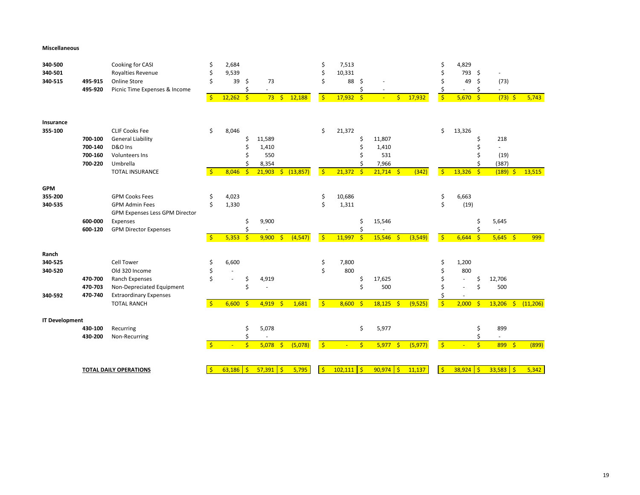#### **Miscellaneous**

| 340-500<br>340-501<br>340-515          | 495-915<br>495-920                       | Cooking for CASI<br>Royalties Revenue<br><b>Online Store</b><br>Picnic Time Expenses & Income                                             | \$<br>Ś<br>Ś<br>$\mathsf{S}$ | 2,684<br>9,539<br>39<br>$12,262$ \$ | -\$<br>Ś                        | 73<br>73                                  | $\mathsf{S}$<br>12,188        | Ś<br>Ś<br>$\mathsf{S}$   | 7,513<br>10,331<br>88<br>$17,932$ \$ | -\$                     |                                           | $\mathsf{S}$ | 17,932   | \$<br>$\sqrt{5}$         | 4,829<br>793 \$<br>49<br>5,670 | \$<br>Ś<br>$\mathsf{S}$ | $\overline{\phantom{a}}$<br>(73)<br>÷.<br>$(73)$ \$ |   | 5,743     |
|----------------------------------------|------------------------------------------|-------------------------------------------------------------------------------------------------------------------------------------------|------------------------------|-------------------------------------|---------------------------------|-------------------------------------------|-------------------------------|--------------------------|--------------------------------------|-------------------------|-------------------------------------------|--------------|----------|--------------------------|--------------------------------|-------------------------|-----------------------------------------------------|---|-----------|
| Insurance<br>355-100                   | 700-100<br>700-140<br>700-160<br>700-220 | <b>CLIF Cooks Fee</b><br><b>General Liability</b><br>D&O Ins<br><b>Volunteers Ins</b><br>Umbrella<br><b>TOTAL INSURANCE</b>               | \$<br>S.                     | 8,046<br>8,046                      | Ś<br>Ś<br>Ś<br>-Ś               | 11,589<br>1,410<br>550<br>8,354<br>21,903 | \$ (13,857)                   | \$<br>$\mathsf{S}$       | 21,372<br>21,372                     | \$<br>Ś<br>-\$          | 11,807<br>1,410<br>531<br>7,966<br>21,714 | $\mathsf{S}$ | (342)    | \$<br>$\mathsf{S}$       | 13,326<br>13,326               | $\mathsf{S}$            | 218<br>٠<br>(19)<br>(387)<br>$(189)$ \$             |   | 13,515    |
| <b>GPM</b><br>355-200<br>340-535       | 600-000<br>600-120                       | <b>GPM Cooks Fees</b><br><b>GPM Admin Fees</b><br>GPM Expenses Less GPM Director<br>Expenses<br><b>GPM Director Expenses</b>              | \$<br>Ś<br>$\mathsf{S}$      | 4,023<br>1,330<br>5,353             | \$<br>\$<br>$\ddot{\mathsf{S}}$ | 9,900<br>9,900                            | (4, 547)<br>$\frac{1}{2}$     | \$<br>$\mathsf{S}$       | 10,686<br>1,311<br>11,997            | Ś<br>$\ddot{\varsigma}$ | 15,546<br>15,546                          | $\mathsf{S}$ | (3,549)  | \$<br>Ś<br>$\frac{1}{2}$ | 6,663<br>(19)<br>6,644         | Ś<br>$\frac{1}{2}$      | 5,645<br>$5,645$ \$                                 |   | 999       |
| Ranch<br>340-525<br>340-520<br>340-592 | 470-700<br>470-703<br>470-740            | <b>Cell Tower</b><br>Old 320 Income<br>Ranch Expenses<br>Non-Depreciated Equipment<br><b>Extraordinary Expenses</b><br><b>TOTAL RANCH</b> | \$<br>Ś<br>$\mathsf{S}$      | 6,600<br>6,600                      | \$<br>Ś<br>-Ś                   | 4,919<br>4,919                            | 1,681<br>$\mathsf{S}$         | \$<br>Ś<br>$\sqrt{5}$    | 7,800<br>800<br>8,600                | \$<br>Ś<br>$\mathsf{S}$ | 17,625<br>500<br>18,125                   | $\mathsf{S}$ | (9,525)  | \$<br>$\sqrt{5}$         | 1,200<br>800<br>÷.<br>2,000    | Ś                       | 12,706<br>500<br>13,206                             | Ś | (11, 206) |
| <b>IT Development</b>                  | 430-100<br>430-200                       | Recurring<br>Non-Recurring                                                                                                                | $\frac{1}{2}$                | ÷                                   | \$<br>\$<br>$\frac{1}{2}$       | 5,078<br>5,078                            | $\ddot{\varsigma}$<br>(5,078) | $\vert \mathsf{s} \vert$ |                                      | \$<br>$\mathsf{S}$      | 5,977<br>5,977                            | $\sqrt{5}$   | (5, 977) | $\overline{\phantom{a}}$ |                                | Ś<br>\$                 | 899<br>8995                                         |   | (899)     |
|                                        |                                          | <b>TOTAL DAILY OPERATIONS</b>                                                                                                             | $\mathsf{S}$                 | $63,186$ \$                         |                                 | $57,391$ \$                               | 5,795                         | Ŝ                        | $102,111$ \$                         |                         | $90,974$ \$                               |              | 11,137   | -\$                      | 38,924                         | l \$                    | $33,583$ \$                                         |   | 5,342     |